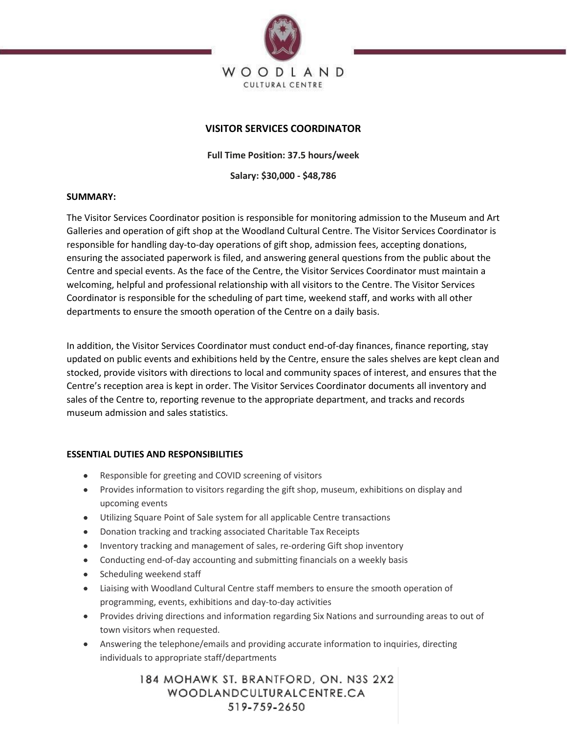

# **VISITOR SERVICES COORDINATOR**

**Full Time Position: 37.5 hours/week**

**Salary: \$30,000 - \$48,786**

## **SUMMARY:**

The Visitor Services Coordinator position is responsible for monitoring admission to the Museum and Art Galleries and operation of gift shop at the Woodland Cultural Centre. The Visitor Services Coordinator is responsible for handling day-to-day operations of gift shop, admission fees, accepting donations, ensuring the associated paperwork is filed, and answering general questions from the public about the Centre and special events. As the face of the Centre, the Visitor Services Coordinator must maintain a welcoming, helpful and professional relationship with all visitors to the Centre. The Visitor Services Coordinator is responsible for the scheduling of part time, weekend staff, and works with all other departments to ensure the smooth operation of the Centre on a daily basis.

In addition, the Visitor Services Coordinator must conduct end-of-day finances, finance reporting, stay updated on public events and exhibitions held by the Centre, ensure the sales shelves are kept clean and stocked, provide visitors with directions to local and community spaces of interest, and ensures that the Centre's reception area is kept in order. The Visitor Services Coordinator documents all inventory and sales of the Centre to, reporting revenue to the appropriate department, and tracks and records museum admission and sales statistics.

## **ESSENTIAL DUTIES AND RESPONSIBILITIES**

- Responsible for greeting and COVID screening of visitors
- Provides information to visitors regarding the gift shop, museum, exhibitions on display and upcoming events
- Utilizing Square Point of Sale system for all applicable Centre transactions
- Donation tracking and tracking associated Charitable Tax Receipts
- Inventory tracking and management of sales, re-ordering Gift shop inventory
- Conducting end-of-day accounting and submitting financials on a weekly basis
- Scheduling weekend staff
- Liaising with Woodland Cultural Centre staff members to ensure the smooth operation of programming, events, exhibitions and day-to-day activities
- Provides driving directions and information regarding Six Nations and surrounding areas to out of town visitors when requested.
- Answering the telephone/emails and providing accurate information to inquiries, directing individuals to appropriate staff/departments

184 MOHAWK ST. BRANTFORD, ON. N3S 2X2 WOODLANDCULTURALCENTRE.CA 519-759-2650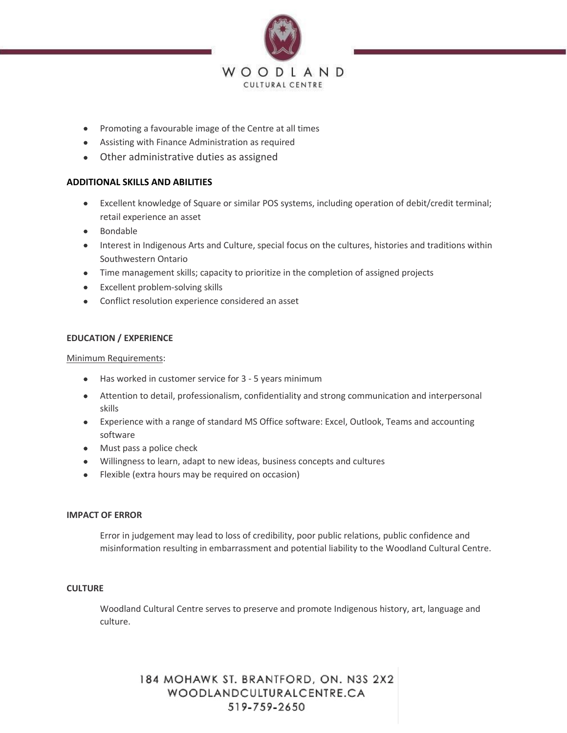

- Promoting a favourable image of the Centre at all times
- Assisting with Finance Administration as required
- Other administrative duties as assigned

## **ADDITIONAL SKILLS AND ABILITIES**

- Excellent knowledge of Square or similar POS systems, including operation of debit/credit terminal; retail experience an asset
- Bondable
- Interest in Indigenous Arts and Culture, special focus on the cultures, histories and traditions within Southwestern Ontario
- Time management skills; capacity to prioritize in the completion of assigned projects
- Excellent problem-solving skills
- Conflict resolution experience considered an asset

## **EDUCATION / EXPERIENCE**

Minimum Requirements:

- Has worked in customer service for 3 5 years minimum
- Attention to detail, professionalism, confidentiality and strong communication and interpersonal skills
- Experience with a range of standard MS Office software: Excel, Outlook, Teams and accounting software
- Must pass a police check
- Willingness to learn, adapt to new ideas, business concepts and cultures
- Flexible (extra hours may be required on occasion)

### **IMPACT OF ERROR**

Error in judgement may lead to loss of credibility, poor public relations, public confidence and misinformation resulting in embarrassment and potential liability to the Woodland Cultural Centre.

### **CULTURE**

Woodland Cultural Centre serves to preserve and promote Indigenous history, art, language and culture.

> 184 MOHAWK ST. BRANTFORD, ON. N3S 2X2 WOODLANDCULTURALCENTRE.CA 519-759-2650